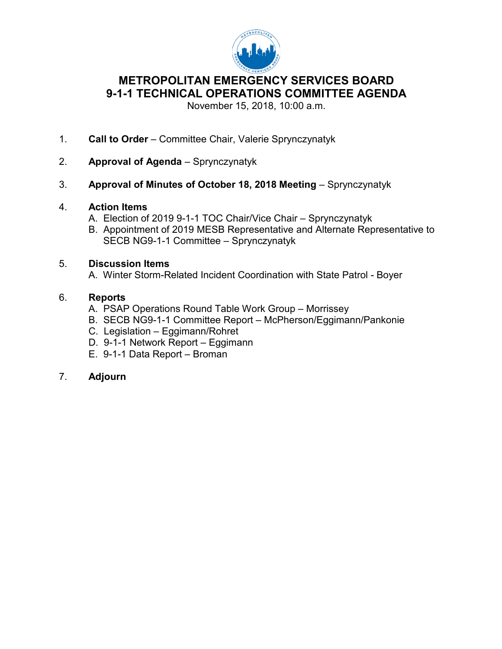

# **9-1-1 TECHNICAL OPERATIONS COMMITTEE AGENDA METROPOLITAN EMERGENCY SERVICES BOARD**

November 15, 2018, 10:00 a.m.

- 1. **Call to Order**  Committee Chair, Valerie Sprynczynatyk
- 2. **Approval of Agenda**  Sprynczynatyk
- Approval of Minutes of October 18, 2018 Meeting - Sprynczynatyk
- 4. **Action Items** 
	- A. Election of 2019 9-1-1 TOC Chair/Vice Chair Sprynczynatyk
	- B. Appointment of 2019 MESB Representative and Alternate Representative to SECB NG9-1-1 Committee – Sprynczynatyk

# 5. **Discussion Items**

A. Winter Storm-Related Incident Coordination with State Patrol - Boyer

# 6. **Reports**

- A. PSAP Operations Round Table Work Group Morrissey
- B. SECB NG9-1-1 Committee Report McPherson/Eggimann/Pankonie
- C. Legislation Eggimann/Rohret
- D. 9-1-1 Network Report Eggimann
- E. 9-1-1 Data Report Broman

# 7. **Adjourn**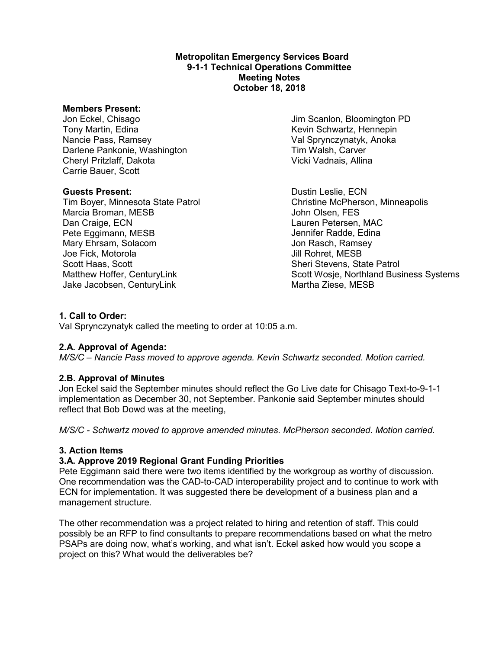#### **Metropolitan Emergency Services Board 9-1-1 Technical Operations Committee Meeting Notes October 18, 2018**

#### **Members Present:**

Jon Eckel, Chisago Jim Scanlon, Bloomington PD Tony Martin, Edina<br>
Nancie Pass, Ramsey<br>
Nancie Pass, Ramsey<br>
Kevin Schwartz, Hennepin Darlene Pankonie, Washington Cheryl Pritzlaff, Dakota Vicki Vadnais, Allina Carrie Bauer, Scott

Marcia Broman, MESB John Olsen, FES Dan Craige, ECN<br>
Pete Eggimann, MESB<br>
Pete Eggimann, MESB<br>
Contract Contract Contract Contract Channel Channel Channel Channel Channel Channel Channel Channel Channel Channel Channel Channel Channel Channel Channel Channel Mary Ehrsam, Solacom Jon Rasch, Ramsey Joe Fick, Motorola Jill Rohret, MESB Scott Haas, Scott Sheri Stevens, State Patrol Jake Jacobsen, CenturyLink Martha Ziese, MESB

Val Sprynczynatyk, Anoka<br>Tim Walsh, Carver

**Guests Present:** Dustin Leslie, ECN Tim Boyer, Minnesota State Patrol Christine McPherson, Minneapolis Jennifer Radde, Edina Matthew Hoffer, CenturyLink Scott Wosje, Northland Business Systems

#### **1. Call to Order:**

Val Sprynczynatyk called the meeting to order at 10:05 a.m.

# **2.A. Approval of Agenda:**

*M/S/C – Nancie Pass moved to approve agenda. Kevin Schwartz seconded. Motion carried.* 

# **2.B. Approval of Minutes**

Jon Eckel said the September minutes should reflect the Go Live date for Chisago Text-to-9-1-1 implementation as December 30, not September. Pankonie said September minutes should reflect that Bob Dowd was at the meeting,

*M/S/C - Schwartz moved to approve amended minutes. McPherson seconded. Motion carried.* 

#### **3. Action Items**

# **3.A. Approve 2019 Regional Grant Funding Priorities**

 One recommendation was the CAD-to-CAD interoperability project and to continue to work with Pete Eggimann said there were two items identified by the workgroup as worthy of discussion. ECN for implementation. It was suggested there be development of a business plan and a management structure.

 The other recommendation was a project related to hiring and retention of staff. This could possibly be an RFP to find consultants to prepare recommendations based on what the metro PSAPs are doing now, what's working, and what isn't. Eckel asked how would you scope a project on this? What would the deliverables be?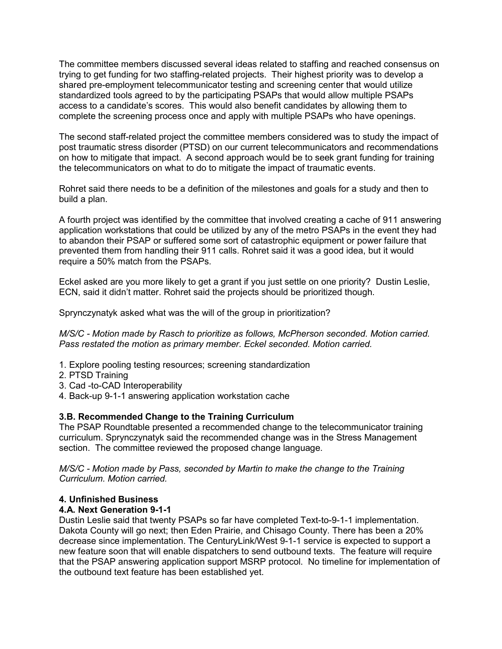trying to get funding for two staffing-related projects. Their highest priority was to develop a access to a candidate's scores. This would also benefit candidates by allowing them to The committee members discussed several ideas related to staffing and reached consensus on shared pre-employment telecommunicator testing and screening center that would utilize standardized tools agreed to by the participating PSAPs that would allow multiple PSAPs complete the screening process once and apply with multiple PSAPs who have openings.

 The second staff-related project the committee members considered was to study the impact of on how to mitigate that impact. A second approach would be to seek grant funding for training post traumatic stress disorder (PTSD) on our current telecommunicators and recommendations the telecommunicators on what to do to mitigate the impact of traumatic events.

 Rohret said there needs to be a definition of the milestones and goals for a study and then to build a plan.

 application workstations that could be utilized by any of the metro PSAPs in the event they had to abandon their PSAP or suffered some sort of catastrophic equipment or power failure that prevented them from handling their 911 calls. Rohret said it was a good idea, but it would A fourth project was identified by the committee that involved creating a cache of 911 answering require a 50% match from the PSAPs.

 ECN, said it didn't matter. Rohret said the projects should be prioritized though. Eckel asked are you more likely to get a grant if you just settle on one priority? Dustin Leslie,

Sprynczynatyk asked what was the will of the group in prioritization?

*M/S/C - Motion made by Rasch to prioritize as follows, McPherson seconded. Motion carried. Pass restated the motion as primary member. Eckel seconded. Motion carried.* 

- 1. Explore pooling testing resources; screening standardization
- 2. PTSD Training
- 3. Cad -to-CAD Interoperability
- 4. Back-up 9-1-1 answering application workstation cache

# **3.B. Recommended Change to the Training Curriculum**

 The PSAP Roundtable presented a recommended change to the telecommunicator training section. The committee reviewed the proposed change language. curriculum. Sprynczynatyk said the recommended change was in the Stress Management

 *M/S/C - Motion made by Pass, seconded by Martin to make the change to the Training Curriculum. Motion carried.* 

#### **4. Unfinished Business**

# **4.A. Next Generation 9-1-1**

 new feature soon that will enable dispatchers to send outbound texts. The feature will require Dustin Leslie said that twenty PSAPs so far have completed Text-to-9-1-1 implementation. Dakota County will go next; then Eden Prairie, and Chisago County. There has been a 20% decrease since implementation. The CenturyLink/West 9-1-1 service is expected to support a that the PSAP answering application support MSRP protocol. No timeline for implementation of the outbound text feature has been established yet.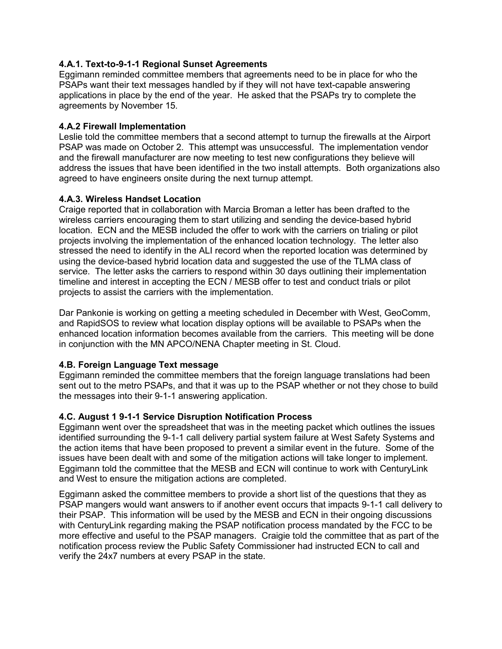# **4.A.1. Text-to-9-1-1 Regional Sunset Agreements**

 PSAPs want their text messages handled by if they will not have text-capable answering applications in place by the end of the year. He asked that the PSAPs try to complete the Eggimann reminded committee members that agreements need to be in place for who the agreements by November 15.

## **4.A.2 Firewall Implementation**

 PSAP was made on October 2. This attempt was unsuccessful. The implementation vendor address the issues that have been identified in the two install attempts. Both organizations also Leslie told the committee members that a second attempt to turnup the firewalls at the Airport and the firewall manufacturer are now meeting to test new configurations they believe will agreed to have engineers onsite during the next turnup attempt.

# **4.A.3. Wireless Handset Location**

 projects involving the implementation of the enhanced location technology. The letter also service. The letter asks the carriers to respond within 30 days outlining their implementation timeline and interest in accepting the ECN / MESB offer to test and conduct trials or pilot Craige reported that in collaboration with Marcia Broman a letter has been drafted to the wireless carriers encouraging them to start utilizing and sending the device-based hybrid location. ECN and the MESB included the offer to work with the carriers on trialing or pilot stressed the need to identify in the ALI record when the reported location was determined by using the device-based hybrid location data and suggested the use of the TLMA class of projects to assist the carriers with the implementation.

 enhanced location information becomes available from the carriers. This meeting will be done Dar Pankonie is working on getting a meeting scheduled in December with West, GeoComm, and RapidSOS to review what location display options will be available to PSAPs when the in conjunction with the MN APCO/NENA Chapter meeting in St. Cloud.

# **4.B. Foreign Language Text message**

 Eggimann reminded the committee members that the foreign language translations had been the messages into their 9-1-1 answering application. sent out to the metro PSAPs, and that it was up to the PSAP whether or not they chose to build

# **4.C. August 1 9-1-1 Service Disruption Notification Process**

 Eggimann went over the spreadsheet that was in the meeting packet which outlines the issues identified surrounding the 9-1-1 call delivery partial system failure at West Safety Systems and issues have been dealt with and some of the mitigation actions will take longer to implement. and West to ensure the mitigation actions are completed. the action items that have been proposed to prevent a similar event in the future. Some of the Eggimann told the committee that the MESB and ECN will continue to work with CenturyLink

 PSAP mangers would want answers to if another event occurs that impacts 9-1-1 call delivery to their PSAP. This information will be used by the MESB and ECN in their ongoing discussions with CenturyLink regarding making the PSAP notification process mandated by the FCC to be more effective and useful to the PSAP managers. Craigie told the committee that as part of the verify the 24x7 numbers at every PSAP in the state. Eggimann asked the committee members to provide a short list of the questions that they as notification process review the Public Safety Commissioner had instructed ECN to call and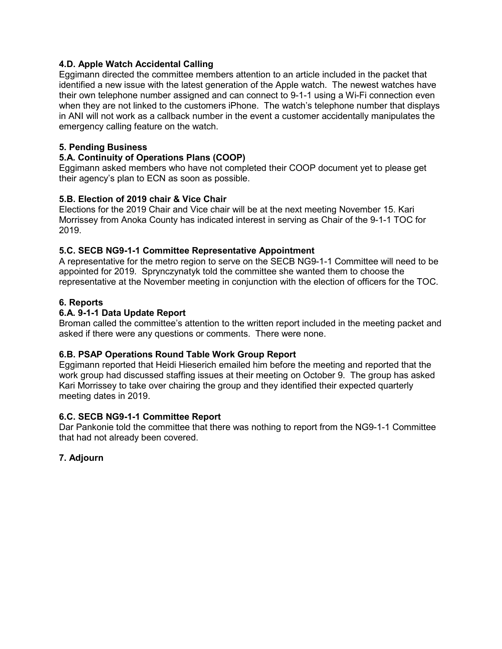# **4.D. Apple Watch Accidental Calling**

 Eggimann directed the committee members attention to an article included in the packet that identified a new issue with the latest generation of the Apple watch. The newest watches have when they are not linked to the customers iPhone. The watch's telephone number that displays their own telephone number assigned and can connect to 9-1-1 using a Wi-Fi connection even in ANI will not work as a callback number in the event a customer accidentally manipulates the emergency calling feature on the watch.

# **5. Pending Business**

# **5.A. Continuity of Operations Plans (COOP)**

Eggimann asked members who have not completed their COOP document yet to please get their agency's plan to ECN as soon as possible.

# **5.B. Election of 2019 chair & Vice Chair**

 Elections for the 2019 Chair and Vice chair will be at the next meeting November 15. Kari Morrissey from Anoka County has indicated interest in serving as Chair of the 9-1-1 TOC for 2019.

# **5.C. SECB NG9-1-1 Committee Representative Appointment**

 appointed for 2019. Sprynczynatyk told the committee she wanted them to choose the representative at the November meeting in conjunction with the election of officers for the TOC. A representative for the metro region to serve on the SECB NG9-1-1 Committee will need to be

# **6. Reports**

# **6.A. 9-1-1 Data Update Report**

 asked if there were any questions or comments. There were none. Broman called the committee's attention to the written report included in the meeting packet and

# **6.B. PSAP Operations Round Table Work Group Report**

 work group had discussed staffing issues at their meeting on October 9. The group has asked Eggimann reported that Heidi Hieserich emailed him before the meeting and reported that the Kari Morrissey to take over chairing the group and they identified their expected quarterly meeting dates in 2019.

# **6.C. SECB NG9-1-1 Committee Report**

 Dar Pankonie told the committee that there was nothing to report from the NG9-1-1 Committee that had not already been covered.

# **7. Adjourn**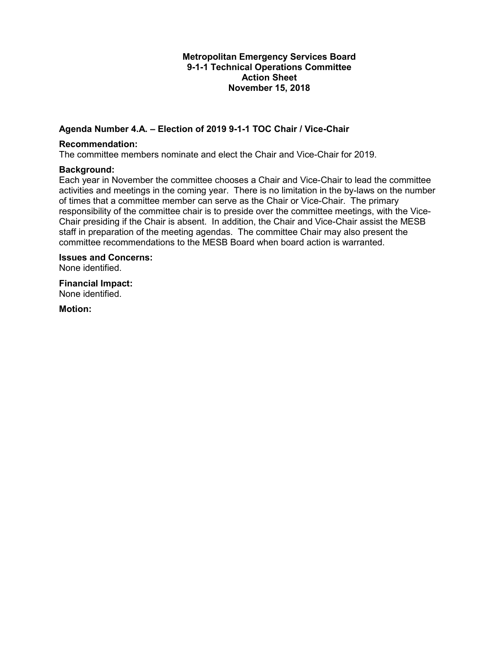#### **Action Sheet Metropolitan Emergency Services Board 9-1-1 Technical Operations Committee November 15, 2018**

# **Agenda Number 4.A. – Election of 2019 9-1-1 TOC Chair / Vice-Chair**

#### **Recommendation:**

The committee members nominate and elect the Chair and Vice-Chair for 2019.

#### **Background:**

 activities and meetings in the coming year. There is no limitation in the by-laws on the number of times that a committee member can serve as the Chair or Vice-Chair. The primary Chair presiding if the Chair is absent. In addition, the Chair and Vice-Chair assist the MESB staff in preparation of the meeting agendas. The committee Chair may also present the Each year in November the committee chooses a Chair and Vice-Chair to lead the committee responsibility of the committee chair is to preside over the committee meetings, with the Vicecommittee recommendations to the MESB Board when board action is warranted.

**Issues and Concerns:**  None identified.

 None identified. **Financial Impact:** 

**Motion:**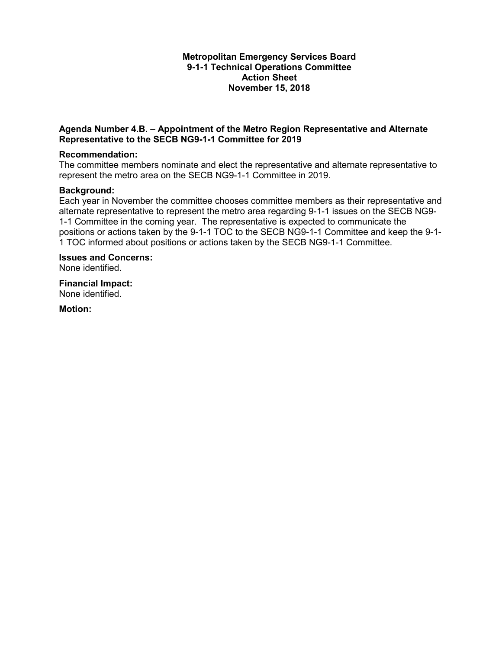#### **Action Sheet Metropolitan Emergency Services Board 9-1-1 Technical Operations Committee November 15, 2018**

### **Agenda Number 4.B. – Appointment of the Metro Region Representative and Alternate Representative to the SECB NG9-1-1 Committee for 2019**

#### **Recommendation:**

 represent the metro area on the SECB NG9-1-1 Committee in 2019. The committee members nominate and elect the representative and alternate representative to

#### **Background:**

 1-1 Committee in the coming year. The representative is expected to communicate the Each year in November the committee chooses committee members as their representative and alternate representative to represent the metro area regarding 9-1-1 issues on the SECB NG9 positions or actions taken by the 9-1-1 TOC to the SECB NG9-1-1 Committee and keep the 9-1- 1 TOC informed about positions or actions taken by the SECB NG9-1-1 Committee.

**Issues and Concerns:**  None identified.

 None identified. **Financial Impact:** 

**Motion:**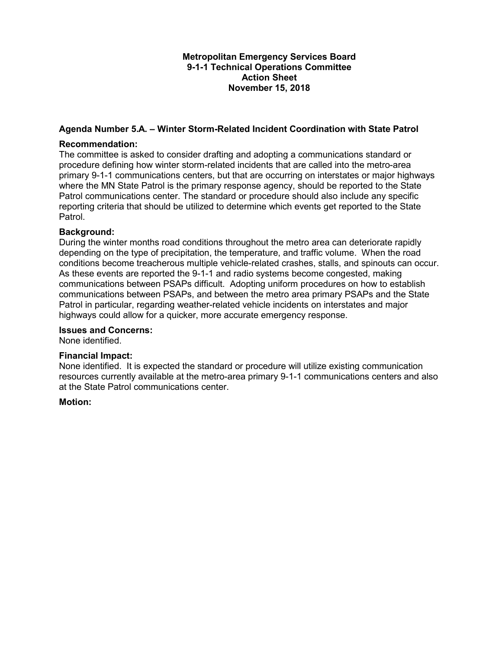### **Metropolitan Emergency Services Board 9-1-1 Technical Operations Committee Action Sheet November 15, 2018**

# **Agenda Number 5.A. – Winter Storm-Related Incident Coordination with State Patrol**

#### **Recommendation:**

 procedure defining how winter storm-related incidents that are called into the metro-area The committee is asked to consider drafting and adopting a communications standard or primary 9-1-1 communications centers, but that are occurring on interstates or major highways where the MN State Patrol is the primary response agency, should be reported to the State Patrol communications center. The standard or procedure should also include any specific reporting criteria that should be utilized to determine which events get reported to the State Patrol.

#### **Background:**

 During the winter months road conditions throughout the metro area can deteriorate rapidly depending on the type of precipitation, the temperature, and traffic volume. When the road conditions become treacherous multiple vehicle-related crashes, stalls, and spinouts can occur. communications between PSAPs difficult. Adopting uniform procedures on how to establish Patrol in particular, regarding weather-related vehicle incidents on interstates and major highways could allow for a quicker, more accurate emergency response. As these events are reported the 9-1-1 and radio systems become congested, making communications between PSAPs, and between the metro area primary PSAPs and the State

#### **Issues and Concerns:**

None identified.

#### **Financial Impact:**

 None identified. It is expected the standard or procedure will utilize existing communication resources currently available at the metro-area primary 9-1-1 communications centers and also at the State Patrol communications center.

#### **Motion:**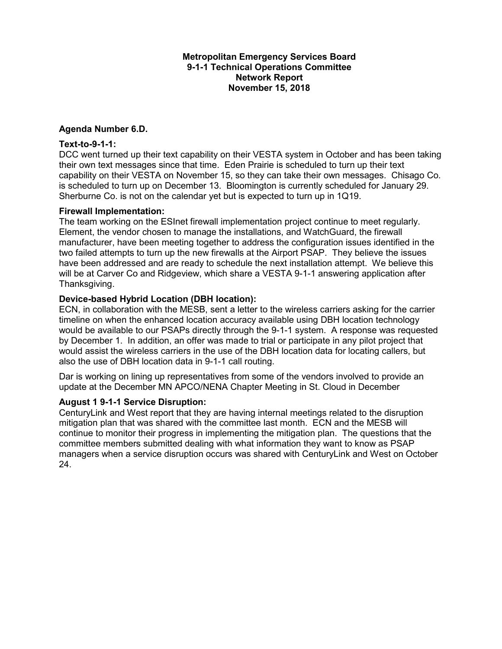### **Metropolitan Emergency Services Board 9-1-1 Technical Operations Committee Network Report November 15, 2018**

#### **Agenda Number 6.D.**

#### **Text-to-9-1-1:**

 their own text messages since that time. Eden Prairie is scheduled to turn up their text is scheduled to turn up on December 13. Bloomington is currently scheduled for January 29.<br>Sherburne Co. is not on the calendar yet but is expected to turn up in 1Q19. DCC went turned up their text capability on their VESTA system in October and has been taking capability on their VESTA on November 15, so they can take their own messages. Chisago Co.

#### **Firewall Implementation:**

 The team working on the ESInet firewall implementation project continue to meet regularly. Element, the vendor chosen to manage the installations, and WatchGuard, the firewall manufacturer, have been meeting together to address the configuration issues identified in the two failed attempts to turn up the new firewalls at the Airport PSAP. They believe the issues have been addressed and are ready to schedule the next installation attempt. We believe this will be at Carver Co and Ridgeview, which share a VESTA 9-1-1 answering application after Thanksgiving.

### **Device-based Hybrid Location (DBH location):**

 ECN, in collaboration with the MESB, sent a letter to the wireless carriers asking for the carrier by December 1. In addition, an offer was made to trial or participate in any pilot project that timeline on when the enhanced location accuracy available using DBH location technology would be available to our PSAPs directly through the 9-1-1 system. A response was requested would assist the wireless carriers in the use of the DBH location data for locating callers, but also the use of DBH location data in 9-1-1 call routing.

 Dar is working on lining up representatives from some of the vendors involved to provide an update at the December MN APCO/NENA Chapter Meeting in St. Cloud in December

#### **August 1 9-1-1 Service Disruption:**

 mitigation plan that was shared with the committee last month. ECN and the MESB will continue to monitor their progress in implementing the mitigation plan. The questions that the CenturyLink and West report that they are having internal meetings related to the disruption committee members submitted dealing with what information they want to know as PSAP managers when a service disruption occurs was shared with CenturyLink and West on October 24.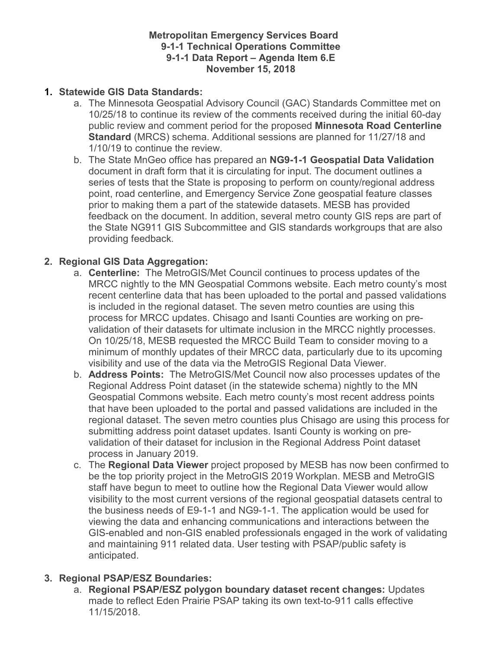# **Metropolitan Emergency Services Board 9-1-1 Technical Operations Committee 9-1-1 Data Report – Agenda Item 6.E November 15, 2018**

# **1. Statewide GIS Data Standards:**

- a. The Minnesota Geospatial Advisory Council (GAC) Standards Committee met on 10/25/18 to continue its review of the comments received during the initial 60-day public review and comment period for the proposed **Minnesota Road Centerline Standard** (MRCS) schema. Additional sessions are planned for 11/27/18 and 1/10/19 to continue the review.
- document in draft form that it is circulating for input. The document outlines a series of tests that the State is proposing to perform on county/regional address b. The State MnGeo office has prepared an **NG9-1-1 Geospatial Data Validation**  point, road centerline, and Emergency Service Zone geospatial feature classes prior to making them a part of the statewide datasets. MESB has provided feedback on the document. In addition, several metro county GIS reps are part of the State NG911 GIS Subcommittee and GIS standards workgroups that are also providing feedback.

# **2. Regional GIS Data Aggregation:**

- a. **Centerline:** The MetroGIS/Met Council continues to process updates of the validation of their datasets for ultimate inclusion in the MRCC nightly processes. MRCC nightly to the MN Geospatial Commons website. Each metro county's most recent centerline data that has been uploaded to the portal and passed validations is included in the regional dataset. The seven metro counties are using this process for MRCC updates. Chisago and Isanti Counties are working on pre-On 10/25/18, MESB requested the MRCC Build Team to consider moving to a minimum of monthly updates of their MRCC data, particularly due to its upcoming visibility and use of the data via the MetroGIS Regional Data Viewer.
- b. **Address Points:** The MetroGIS/Met Council now also processes updates of the regional dataset. The seven metro counties plus Chisago are using this process for validation of their dataset for inclusion in the Regional Address Point dataset Regional Address Point dataset (in the statewide schema) nightly to the MN Geospatial Commons website. Each metro county's most recent address points that have been uploaded to the portal and passed validations are included in the submitting address point dataset updates. Isanti County is working on preprocess in January 2019.
- c. The **Regional Data Viewer** project proposed by MESB has now been confirmed to be the top priority project in the MetroGIS 2019 Workplan. MESB and MetroGIS staff have begun to meet to outline how the Regional Data Viewer would allow visibility to the most current versions of the regional geospatial datasets central to the business needs of E9-1-1 and NG9-1-1. The application would be used for viewing the data and enhancing communications and interactions between the GIS-enabled and non-GIS enabled professionals engaged in the work of validating and maintaining 911 related data. User testing with PSAP/public safety is anticipated.

# **3. Regional PSAP/ESZ Boundaries:**

a. **Regional PSAP/ESZ polygon boundary dataset recent changes:** Updates made to reflect Eden Prairie PSAP taking its own text-to-911 calls effective 11/15/2018.